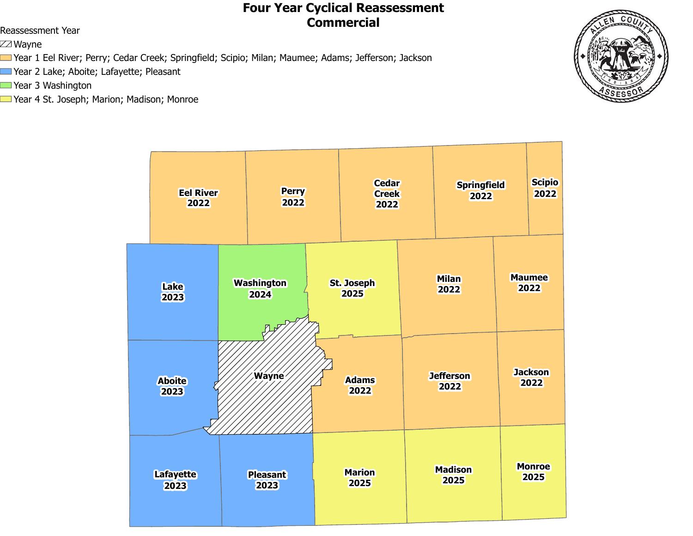# **Four Year Cyclical Reassessment Commercial** Reassessment Year

ZZ Wayne

- Year 1 Eel River; Perry; Cedar Creek; Springfield; Scipio; Milan; Maumee; Adams; Jefferson; Jackson
- Year 2 Lake; Aboite; Lafayette; Pleasant
- Year 3 Washington
- Year 4 St. Joseph; Marion; Madison; Monroe



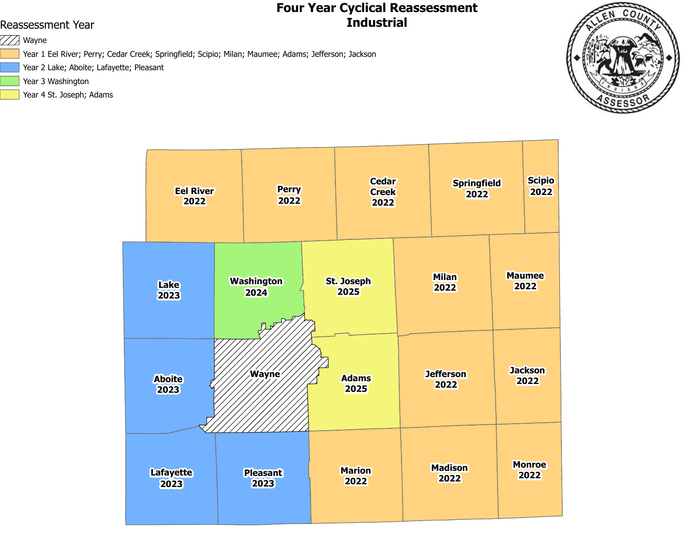### **Four Year Cyclical Reassessment** Reassessment Year **Industrial**

 $\mathbb{W}$  Wayne

Year 1 Eel River; Perry; Cedar Creek; Springfield; Scipio; Milan; Maumee; Adams; Jefferson; Jackson

Year 2 Lake; Aboite; Lafayette; Pleasant

- Year 3 Washington
- Year 4 St. Joseph; Adams



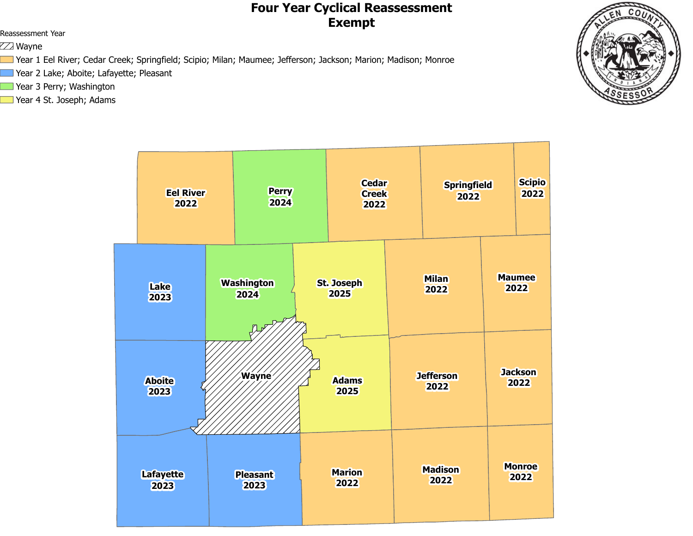## **Four Year Cyclical Reassessment Exempt**

Reassessment Year

ZZ Wayne

Year 1 Eel River; Cedar Creek; Springfield; Scipio; Milan; Maumee; Jefferson; Jackson; Marion; Madison; Monroe

- Year 2 Lake; Aboite; Lafayette; Pleasant
- Year 3 Perry; Washington
- Year 4 St. Joseph; Adams